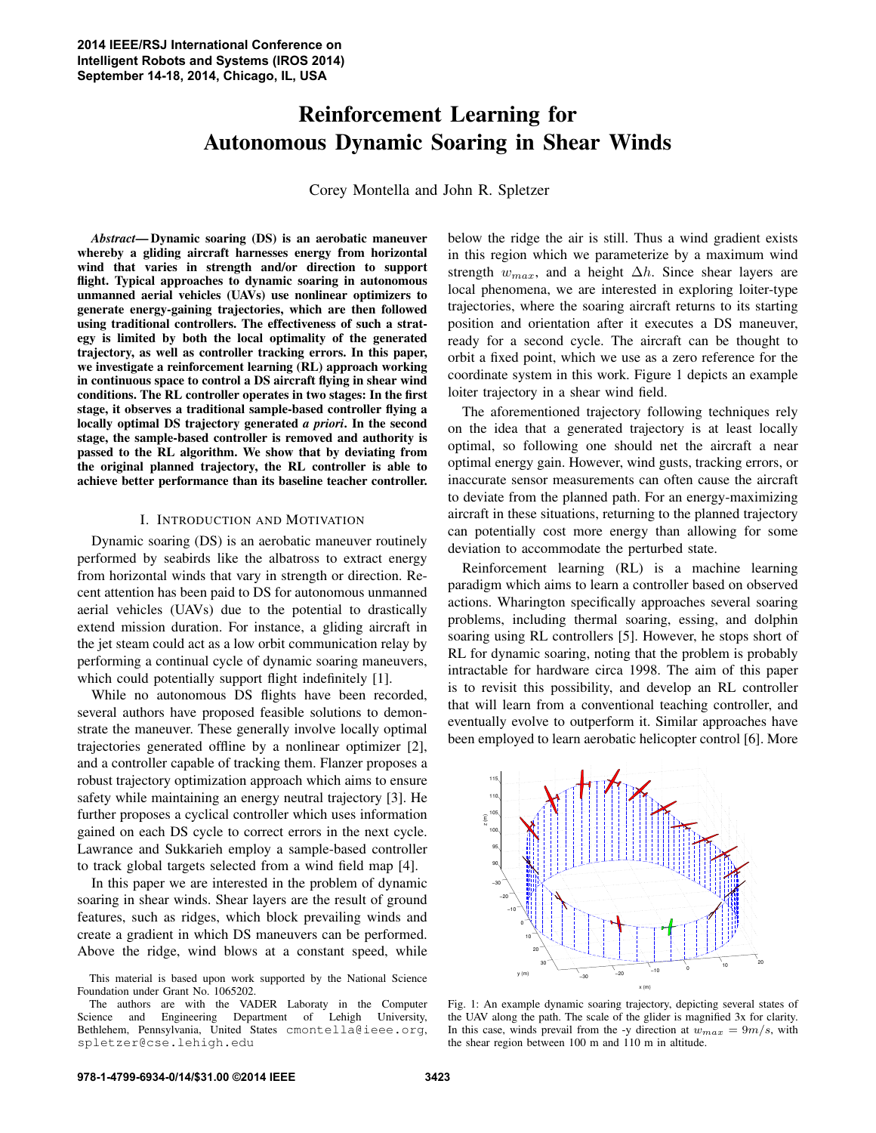# Reinforcement Learning for Autonomous Dynamic Soaring in Shear Winds

Corey Montella and John R. Spletzer

*Abstract*— Dynamic soaring (DS) is an aerobatic maneuver whereby a gliding aircraft harnesses energy from horizontal wind that varies in strength and/or direction to support flight. Typical approaches to dynamic soaring in autonomous unmanned aerial vehicles (UAVs) use nonlinear optimizers to generate energy-gaining trajectories, which are then followed using traditional controllers. The effectiveness of such a strategy is limited by both the local optimality of the generated trajectory, as well as controller tracking errors. In this paper, we investigate a reinforcement learning (RL) approach working in continuous space to control a DS aircraft flying in shear wind conditions. The RL controller operates in two stages: In the first stage, it observes a traditional sample-based controller flying a locally optimal DS trajectory generated *a priori*. In the second stage, the sample-based controller is removed and authority is passed to the RL algorithm. We show that by deviating from the original planned trajectory, the RL controller is able to achieve better performance than its baseline teacher controller.

#### I. INTRODUCTION AND MOTIVATION

Dynamic soaring (DS) is an aerobatic maneuver routinely performed by seabirds like the albatross to extract energy from horizontal winds that vary in strength or direction. Recent attention has been paid to DS for autonomous unmanned aerial vehicles (UAVs) due to the potential to drastically extend mission duration. For instance, a gliding aircraft in the jet steam could act as a low orbit communication relay by performing a continual cycle of dynamic soaring maneuvers, which could potentially support flight indefinitely [1].

While no autonomous DS flights have been recorded, several authors have proposed feasible solutions to demonstrate the maneuver. These generally involve locally optimal trajectories generated offline by a nonlinear optimizer [2], and a controller capable of tracking them. Flanzer proposes a robust trajectory optimization approach which aims to ensure safety while maintaining an energy neutral trajectory [3]. He further proposes a cyclical controller which uses information gained on each DS cycle to correct errors in the next cycle. Lawrance and Sukkarieh employ a sample-based controller to track global targets selected from a wind field map [4].

In this paper we are interested in the problem of dynamic soaring in shear winds. Shear layers are the result of ground features, such as ridges, which block prevailing winds and create a gradient in which DS maneuvers can be performed. Above the ridge, wind blows at a constant speed, while below the ridge the air is still. Thus a wind gradient exists in this region which we parameterize by a maximum wind strength  $w_{max}$ , and a height  $\Delta h$ . Since shear layers are local phenomena, we are interested in exploring loiter-type trajectories, where the soaring aircraft returns to its starting position and orientation after it executes a DS maneuver, ready for a second cycle. The aircraft can be thought to orbit a fixed point, which we use as a zero reference for the coordinate system in this work. Figure 1 depicts an example loiter trajectory in a shear wind field.

The aforementioned trajectory following techniques rely on the idea that a generated trajectory is at least locally optimal, so following one should net the aircraft a near optimal energy gain. However, wind gusts, tracking errors, or inaccurate sensor measurements can often cause the aircraft to deviate from the planned path. For an energy-maximizing aircraft in these situations, returning to the planned trajectory can potentially cost more energy than allowing for some deviation to accommodate the perturbed state.

Reinforcement learning (RL) is a machine learning paradigm which aims to learn a controller based on observed actions. Wharington specifically approaches several soaring problems, including thermal soaring, essing, and dolphin soaring using RL controllers [5]. However, he stops short of RL for dynamic soaring, noting that the problem is probably intractable for hardware circa 1998. The aim of this paper is to revisit this possibility, and develop an RL controller that will learn from a conventional teaching controller, and eventually evolve to outperform it. Similar approaches have been employed to learn aerobatic helicopter control [6]. More



Fig. 1: An example dynamic soaring trajectory, depicting several states of the UAV along the path. The scale of the glider is magnified 3x for clarity. In this case, winds prevail from the -y direction at  $w_{max} = 9m/s$ , with the shear region between 100 m and 110 m in altitude.

This material is based upon work supported by the National Science Foundation under Grant No. 1065202.

The authors are with the VADER Laboraty in the Computer Science and Engineering Department of Lehigh University, Bethlehem, Pennsylvania, United States cmontella@ieee.org, spletzer@cse.lehigh.edu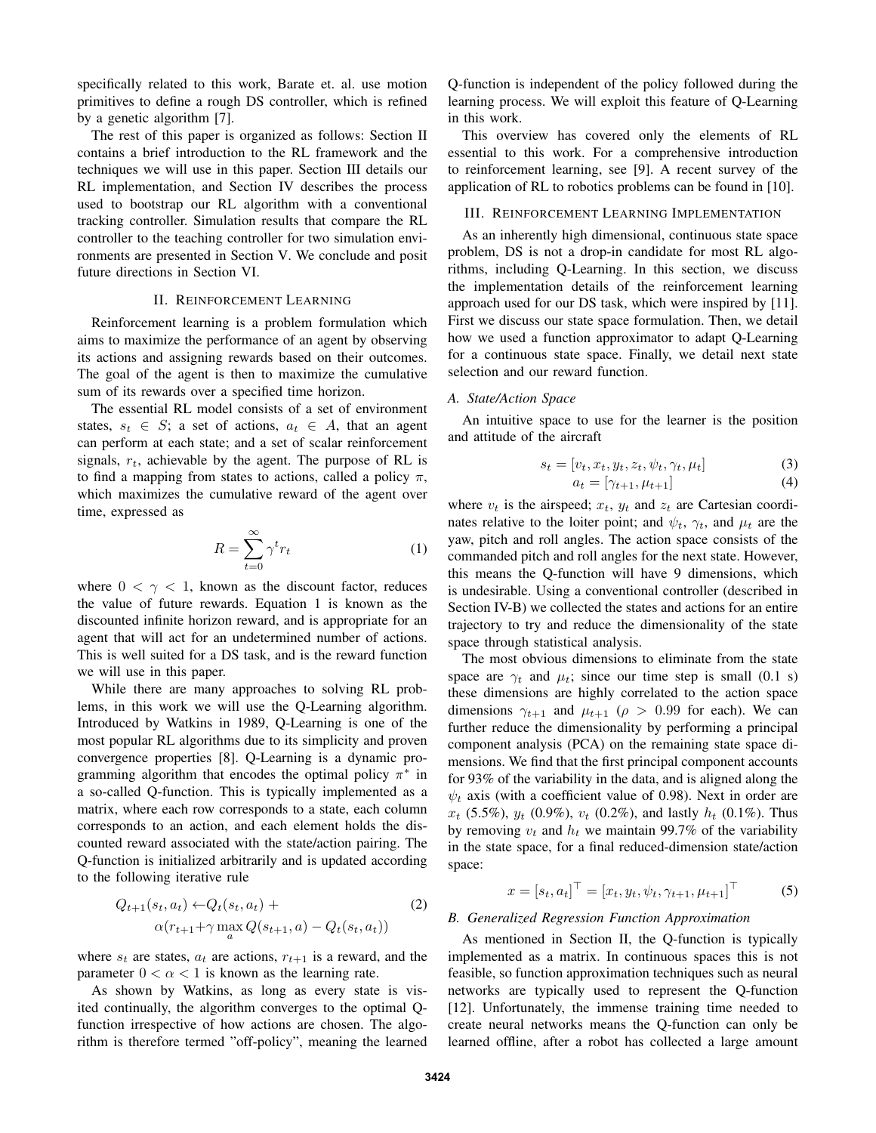specifically related to this work, Barate et. al. use motion primitives to define a rough DS controller, which is refined by a genetic algorithm [7].

The rest of this paper is organized as follows: Section II contains a brief introduction to the RL framework and the techniques we will use in this paper. Section III details our RL implementation, and Section IV describes the process used to bootstrap our RL algorithm with a conventional tracking controller. Simulation results that compare the RL controller to the teaching controller for two simulation environments are presented in Section V. We conclude and posit future directions in Section VI.

## II. REINFORCEMENT LEARNING

Reinforcement learning is a problem formulation which aims to maximize the performance of an agent by observing its actions and assigning rewards based on their outcomes. The goal of the agent is then to maximize the cumulative sum of its rewards over a specified time horizon.

The essential RL model consists of a set of environment states,  $s_t \in S$ ; a set of actions,  $a_t \in A$ , that an agent can perform at each state; and a set of scalar reinforcement signals,  $r_t$ , achievable by the agent. The purpose of RL is to find a mapping from states to actions, called a policy  $\pi$ , which maximizes the cumulative reward of the agent over time, expressed as

$$
R = \sum_{t=0}^{\infty} \gamma^t r_t \tag{1}
$$

where  $0 < \gamma < 1$ , known as the discount factor, reduces the value of future rewards. Equation 1 is known as the discounted infinite horizon reward, and is appropriate for an agent that will act for an undetermined number of actions. This is well suited for a DS task, and is the reward function we will use in this paper.

While there are many approaches to solving RL problems, in this work we will use the Q-Learning algorithm. Introduced by Watkins in 1989, Q-Learning is one of the most popular RL algorithms due to its simplicity and proven convergence properties [8]. Q-Learning is a dynamic programming algorithm that encodes the optimal policy  $\pi^*$  in a so-called Q-function. This is typically implemented as a matrix, where each row corresponds to a state, each column corresponds to an action, and each element holds the discounted reward associated with the state/action pairing. The Q-function is initialized arbitrarily and is updated according to the following iterative rule

$$
Q_{t+1}(s_t, a_t) \leftarrow Q_t(s_t, a_t) +
$$
  
 
$$
\alpha(r_{t+1} + \gamma \max_a Q(s_{t+1}, a) - Q_t(s_t, a_t))
$$
 (2)

where  $s_t$  are states,  $a_t$  are actions,  $r_{t+1}$  is a reward, and the parameter  $0 < \alpha < 1$  is known as the learning rate.

As shown by Watkins, as long as every state is visited continually, the algorithm converges to the optimal Qfunction irrespective of how actions are chosen. The algorithm is therefore termed "off-policy", meaning the learned Q-function is independent of the policy followed during the learning process. We will exploit this feature of Q-Learning in this work.

This overview has covered only the elements of RL essential to this work. For a comprehensive introduction to reinforcement learning, see [9]. A recent survey of the application of RL to robotics problems can be found in [10].

#### III. REINFORCEMENT LEARNING IMPLEMENTATION

As an inherently high dimensional, continuous state space problem, DS is not a drop-in candidate for most RL algorithms, including Q-Learning. In this section, we discuss the implementation details of the reinforcement learning approach used for our DS task, which were inspired by [11]. First we discuss our state space formulation. Then, we detail how we used a function approximator to adapt Q-Learning for a continuous state space. Finally, we detail next state selection and our reward function.

### *A. State/Action Space*

An intuitive space to use for the learner is the position and attitude of the aircraft

$$
s_t = [v_t, x_t, y_t, z_t, \psi_t, \gamma_t, \mu_t]
$$
\n(3)

$$
a_t = [\gamma_{t+1}, \mu_{t+1}] \tag{4}
$$

where  $v_t$  is the airspeed;  $x_t$ ,  $y_t$  and  $z_t$  are Cartesian coordinates relative to the loiter point; and  $\psi_t$ ,  $\gamma_t$ , and  $\mu_t$  are the yaw, pitch and roll angles. The action space consists of the commanded pitch and roll angles for the next state. However, this means the Q-function will have 9 dimensions, which is undesirable. Using a conventional controller (described in Section IV-B) we collected the states and actions for an entire trajectory to try and reduce the dimensionality of the state space through statistical analysis.

The most obvious dimensions to eliminate from the state space are  $\gamma_t$  and  $\mu_t$ ; since our time step is small (0.1 s) these dimensions are highly correlated to the action space dimensions  $\gamma_{t+1}$  and  $\mu_{t+1}$  ( $\rho > 0.99$  for each). We can further reduce the dimensionality by performing a principal component analysis (PCA) on the remaining state space dimensions. We find that the first principal component accounts for 93% of the variability in the data, and is aligned along the  $\psi_t$  axis (with a coefficient value of 0.98). Next in order are  $x_t$  (5.5%),  $y_t$  (0.9%),  $v_t$  (0.2%), and lastly  $h_t$  (0.1%). Thus by removing  $v_t$  and  $h_t$  we maintain 99.7% of the variability in the state space, for a final reduced-dimension state/action space:

$$
x = [s_t, a_t]^\top = [x_t, y_t, \psi_t, \gamma_{t+1}, \mu_{t+1}]^\top
$$
 (5)

## *B. Generalized Regression Function Approximation*

As mentioned in Section II, the Q-function is typically implemented as a matrix. In continuous spaces this is not feasible, so function approximation techniques such as neural networks are typically used to represent the Q-function [12]. Unfortunately, the immense training time needed to create neural networks means the Q-function can only be learned offline, after a robot has collected a large amount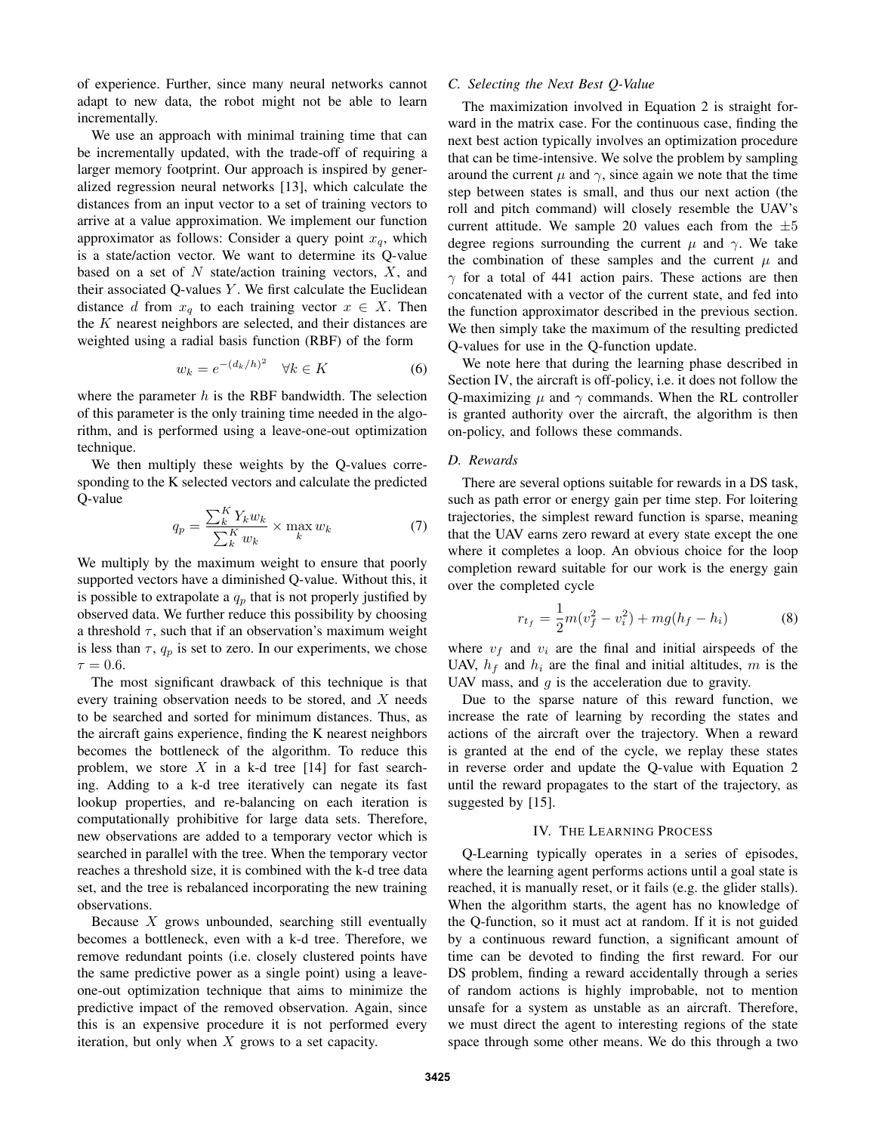of experience. Further, since many neural networks cannot adapt to new data, the robot might not be able to learn incrementally.

We use an approach with minimal training time that can be incrementally updated, with the trade-off of requiring a larger memory footprint. Our approach is inspired by generalized regression neural networks [13], which calculate the distances from an input vector to a set of training vectors to arrive at a value approximation. We implement our function approximator as follows: Consider a query point  $x_q$ , which is a state/action vector. We want to determine its Q-value based on a set of  $N$  state/action training vectors,  $X$ , and their associated Q-values  $Y$ . We first calculate the Euclidean distance d from  $x_q$  to each training vector  $x \in X$ . Then the K nearest neighbors are selected, and their distances are weighted using a radial basis function (RBF) of the form

$$
w_k = e^{-(d_k/h)^2} \quad \forall k \in K \tag{6}
$$

where the parameter  $h$  is the RBF bandwidth. The selection of this parameter is the only training time needed in the algorithm, and is performed using a leave-one-out optimization technique.

We then multiply these weights by the Q-values corresponding to the K selected vectors and calculate the predicted Q-value

$$
q_p = \frac{\sum_{k}^{K} Y_k w_k}{\sum_{k}^{K} w_k} \times \max_{k} w_k \tag{7}
$$

We multiply by the maximum weight to ensure that poorly supported vectors have a diminished Q-value. Without this, it is possible to extrapolate a  $q_p$  that is not properly justified by observed data. We further reduce this possibility by choosing a threshold  $\tau$ , such that if an observation's maximum weight is less than  $\tau$ ,  $q_p$  is set to zero. In our experiments, we chose  $\tau = 0.6$ .

The most significant drawback of this technique is that every training observation needs to be stored, and X needs to be searched and sorted for minimum distances. Thus, as the aircraft gains experience, finding the K nearest neighbors becomes the bottleneck of the algorithm. To reduce this problem, we store  $X$  in a k-d tree [14] for fast searching. Adding to a k-d tree iteratively can negate its fast lookup properties, and re-balancing on each iteration is computationally prohibitive for large data sets. Therefore, new observations are added to a temporary vector which is searched in parallel with the tree. When the temporary vector reaches a threshold size, it is combined with the k-d tree data set, and the tree is rebalanced incorporating the new training observations.

Because X grows unbounded, searching still eventually becomes a bottleneck, even with a k-d tree. Therefore, we remove redundant points (i.e. closely clustered points have the same predictive power as a single point) using a leaveone-out optimization technique that aims to minimize the predictive impact of the removed observation. Again, since this is an expensive procedure it is not performed every iteration, but only when  $X$  grows to a set capacity.

# *C. Selecting the Next Best Q-Value*

The maximization involved in Equation 2 is straight forward in the matrix case. For the continuous case, finding the next best action typically involves an optimization procedure that can be time-intensive. We solve the problem by sampling around the current  $\mu$  and  $\gamma$ , since again we note that the time step between states is small, and thus our next action (the roll and pitch command) will closely resemble the UAV's current attitude. We sample 20 values each from the  $\pm 5$ degree regions surrounding the current  $\mu$  and  $\gamma$ . We take the combination of these samples and the current  $\mu$  and  $\gamma$  for a total of 441 action pairs. These actions are then concatenated with a vector of the current state, and fed into the function approximator described in the previous section. We then simply take the maximum of the resulting predicted Q-values for use in the Q-function update.

We note here that during the learning phase described in Section IV, the aircraft is off-policy, i.e. it does not follow the Q-maximizing  $\mu$  and  $\gamma$  commands. When the RL controller is granted authority over the aircraft, the algorithm is then on-policy, and follows these commands.

#### *D. Rewards*

There are several options suitable for rewards in a DS task, such as path error or energy gain per time step. For loitering trajectories, the simplest reward function is sparse, meaning that the UAV earns zero reward at every state except the one where it completes a loop. An obvious choice for the loop completion reward suitable for our work is the energy gain over the completed cycle

$$
r_{t_f} = \frac{1}{2}m(v_f^2 - v_i^2) + mg(h_f - h_i)
$$
 (8)

where  $v_f$  and  $v_i$  are the final and initial airspeeds of the UAV,  $h_f$  and  $h_i$  are the final and initial altitudes, m is the UAV mass, and  $g$  is the acceleration due to gravity.

Due to the sparse nature of this reward function, we increase the rate of learning by recording the states and actions of the aircraft over the trajectory. When a reward is granted at the end of the cycle, we replay these states in reverse order and update the Q-value with Equation 2 until the reward propagates to the start of the trajectory, as suggested by [15].

## IV. THE LEARNING PROCESS

Q-Learning typically operates in a series of episodes, where the learning agent performs actions until a goal state is reached, it is manually reset, or it fails (e.g. the glider stalls). When the algorithm starts, the agent has no knowledge of the Q-function, so it must act at random. If it is not guided by a continuous reward function, a significant amount of time can be devoted to finding the first reward. For our DS problem, finding a reward accidentally through a series of random actions is highly improbable, not to mention unsafe for a system as unstable as an aircraft. Therefore, we must direct the agent to interesting regions of the state space through some other means. We do this through a two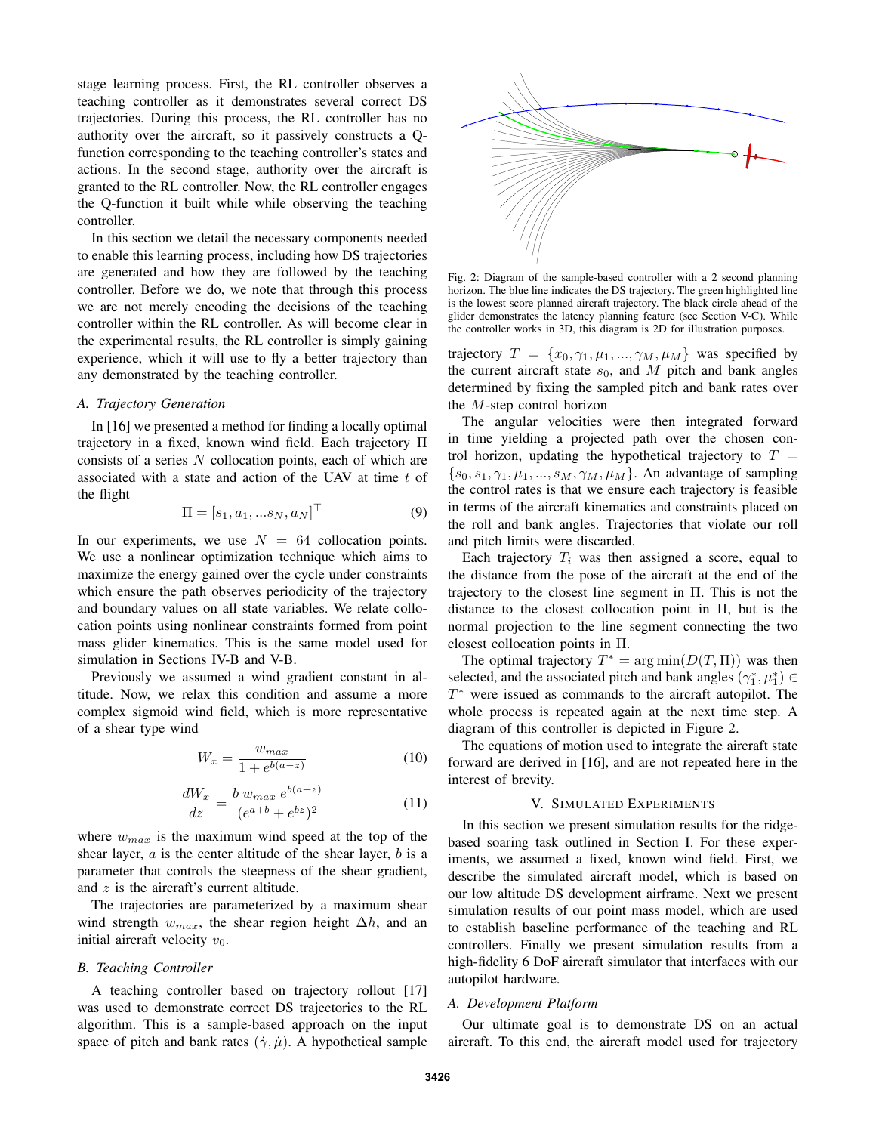stage learning process. First, the RL controller observes a teaching controller as it demonstrates several correct DS trajectories. During this process, the RL controller has no authority over the aircraft, so it passively constructs a Qfunction corresponding to the teaching controller's states and actions. In the second stage, authority over the aircraft is granted to the RL controller. Now, the RL controller engages the Q-function it built while while observing the teaching controller.

In this section we detail the necessary components needed to enable this learning process, including how DS trajectories are generated and how they are followed by the teaching controller. Before we do, we note that through this process we are not merely encoding the decisions of the teaching controller within the RL controller. As will become clear in the experimental results, the RL controller is simply gaining experience, which it will use to fly a better trajectory than any demonstrated by the teaching controller.

## *A. Trajectory Generation*

In [16] we presented a method for finding a locally optimal trajectory in a fixed, known wind field. Each trajectory Π consists of a series N collocation points, each of which are associated with a state and action of the UAV at time t of the flight

$$
\Pi = [s_1, a_1, ... s_N, a_N]^\top
$$
 (9)

In our experiments, we use  $N = 64$  collocation points. We use a nonlinear optimization technique which aims to maximize the energy gained over the cycle under constraints which ensure the path observes periodicity of the trajectory and boundary values on all state variables. We relate collocation points using nonlinear constraints formed from point mass glider kinematics. This is the same model used for simulation in Sections IV-B and V-B.

Previously we assumed a wind gradient constant in altitude. Now, we relax this condition and assume a more complex sigmoid wind field, which is more representative of a shear type wind

$$
W_x = \frac{w_{max}}{1 + e^{b(a-z)}}\tag{10}
$$

$$
\frac{dW_x}{dz} = \frac{b \ w_{max} \ e^{b(a+z)}}{(e^{a+b} + e^{bz})^2} \tag{11}
$$

where  $w_{max}$  is the maximum wind speed at the top of the shear layer,  $a$  is the center altitude of the shear layer,  $b$  is a parameter that controls the steepness of the shear gradient, and  $z$  is the aircraft's current altitude.

The trajectories are parameterized by a maximum shear wind strength  $w_{max}$ , the shear region height  $\Delta h$ , and an initial aircraft velocity  $v_0$ .

#### *B. Teaching Controller*

A teaching controller based on trajectory rollout [17] was used to demonstrate correct DS trajectories to the RL algorithm. This is a sample-based approach on the input space of pitch and bank rates  $(\dot{\gamma}, \dot{\mu})$ . A hypothetical sample



Fig. 2: Diagram of the sample-based controller with a 2 second planning horizon. The blue line indicates the DS trajectory. The green highlighted line is the lowest score planned aircraft trajectory. The black circle ahead of the glider demonstrates the latency planning feature (see Section V-C). While the controller works in 3D, this diagram is 2D for illustration purposes.

trajectory  $T = \{x_0, \gamma_1, \mu_1, ..., \gamma_M, \mu_M\}$  was specified by the current aircraft state  $s_0$ , and M pitch and bank angles determined by fixing the sampled pitch and bank rates over the M-step control horizon

The angular velocities were then integrated forward in time yielding a projected path over the chosen control horizon, updating the hypothetical trajectory to  $T =$  $\{s_0, s_1, \gamma_1, \mu_1, \ldots, s_M, \gamma_M, \mu_M\}$ . An advantage of sampling the control rates is that we ensure each trajectory is feasible in terms of the aircraft kinematics and constraints placed on the roll and bank angles. Trajectories that violate our roll and pitch limits were discarded.

Each trajectory  $T_i$  was then assigned a score, equal to the distance from the pose of the aircraft at the end of the trajectory to the closest line segment in Π. This is not the distance to the closest collocation point in  $\Pi$ , but is the normal projection to the line segment connecting the two closest collocation points in Π.

The optimal trajectory  $T^* = \arg \min(D(T, \Pi))$  was then selected, and the associated pitch and bank angles  $(\gamma_1^*, \mu_1^*) \in$ T <sup>∗</sup> were issued as commands to the aircraft autopilot. The whole process is repeated again at the next time step. A diagram of this controller is depicted in Figure 2.

The equations of motion used to integrate the aircraft state forward are derived in [16], and are not repeated here in the interest of brevity.

#### V. SIMULATED EXPERIMENTS

In this section we present simulation results for the ridgebased soaring task outlined in Section I. For these experiments, we assumed a fixed, known wind field. First, we describe the simulated aircraft model, which is based on our low altitude DS development airframe. Next we present simulation results of our point mass model, which are used to establish baseline performance of the teaching and RL controllers. Finally we present simulation results from a high-fidelity 6 DoF aircraft simulator that interfaces with our autopilot hardware.

#### *A. Development Platform*

Our ultimate goal is to demonstrate DS on an actual aircraft. To this end, the aircraft model used for trajectory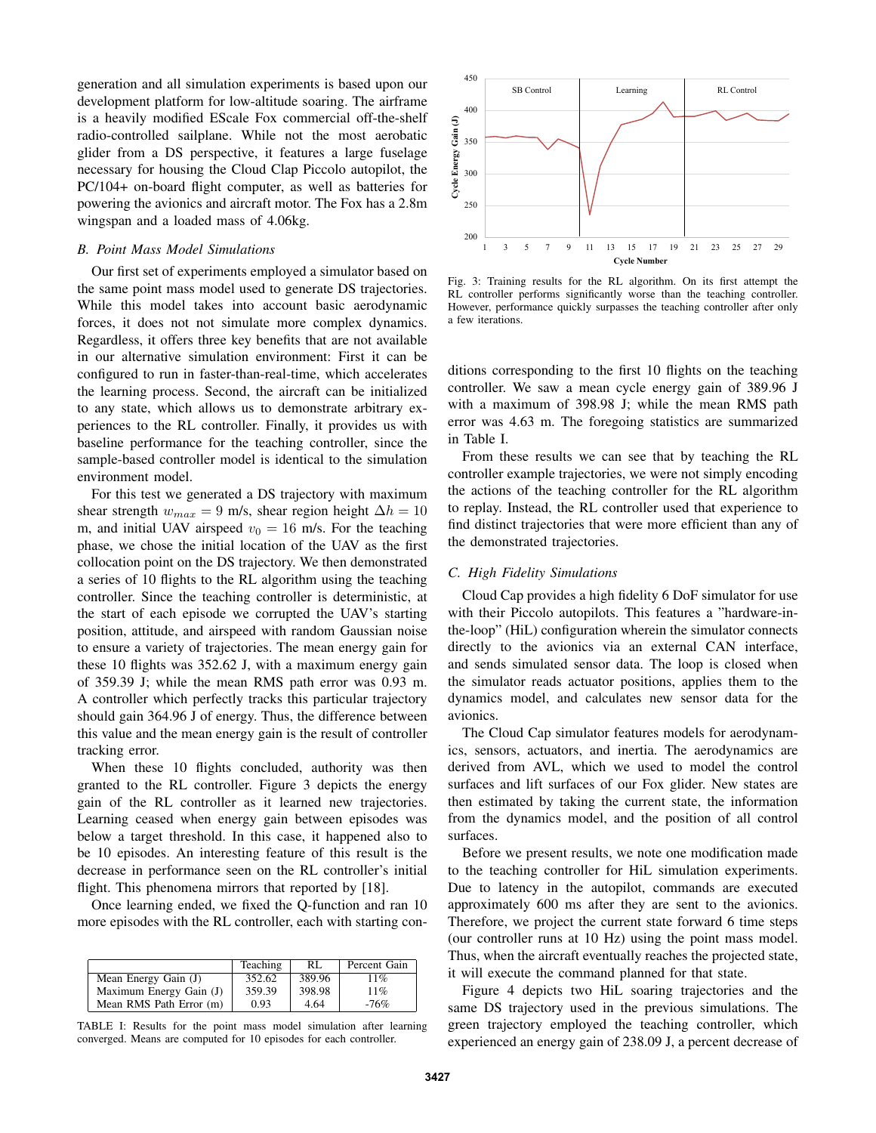generation and all simulation experiments is based upon our development platform for low-altitude soaring. The airframe is a heavily modified EScale Fox commercial off-the-shelf radio-controlled sailplane. While not the most aerobatic glider from a DS perspective, it features a large fuselage necessary for housing the Cloud Clap Piccolo autopilot, the PC/104+ on-board flight computer, as well as batteries for powering the avionics and aircraft motor. The Fox has a 2.8m wingspan and a loaded mass of 4.06kg.

## *B. Point Mass Model Simulations*

Our first set of experiments employed a simulator based on the same point mass model used to generate DS trajectories. While this model takes into account basic aerodynamic forces, it does not not simulate more complex dynamics. Regardless, it offers three key benefits that are not available in our alternative simulation environment: First it can be configured to run in faster-than-real-time, which accelerates the learning process. Second, the aircraft can be initialized to any state, which allows us to demonstrate arbitrary experiences to the RL controller. Finally, it provides us with baseline performance for the teaching controller, since the sample-based controller model is identical to the simulation environment model.

For this test we generated a DS trajectory with maximum shear strength  $w_{max} = 9$  m/s, shear region height  $\Delta h = 10$ m, and initial UAV airspeed  $v_0 = 16$  m/s. For the teaching phase, we chose the initial location of the UAV as the first collocation point on the DS trajectory. We then demonstrated a series of 10 flights to the RL algorithm using the teaching controller. Since the teaching controller is deterministic, at the start of each episode we corrupted the UAV's starting position, attitude, and airspeed with random Gaussian noise to ensure a variety of trajectories. The mean energy gain for these 10 flights was 352.62 J, with a maximum energy gain of 359.39 J; while the mean RMS path error was 0.93 m. A controller which perfectly tracks this particular trajectory should gain 364.96 J of energy. Thus, the difference between this value and the mean energy gain is the result of controller tracking error.

When these 10 flights concluded, authority was then granted to the RL controller. Figure 3 depicts the energy gain of the RL controller as it learned new trajectories. Learning ceased when energy gain between episodes was below a target threshold. In this case, it happened also to be 10 episodes. An interesting feature of this result is the decrease in performance seen on the RL controller's initial flight. This phenomena mirrors that reported by [18].

Once learning ended, we fixed the Q-function and ran 10 more episodes with the RL controller, each with starting con-

|                         | Teaching | RL     | Percent Gain |
|-------------------------|----------|--------|--------------|
| Mean Energy Gain (J)    | 352.62   | 389.96 | 11%          |
| Maximum Energy Gain (J) | 359.39   | 398.98 | 11%          |
| Mean RMS Path Error (m) | 0.93     | 4.64   | $-76%$       |

TABLE I: Results for the point mass model simulation after learning converged. Means are computed for 10 episodes for each controller.



Fig. 3: Training results for the RL algorithm. On its first attempt the RL controller performs significantly worse than the teaching controller. However, performance quickly surpasses the teaching controller after only a few iterations.

ditions corresponding to the first 10 flights on the teaching controller. We saw a mean cycle energy gain of 389.96 J with a maximum of 398.98 J; while the mean RMS path error was 4.63 m. The foregoing statistics are summarized in Table I.

From these results we can see that by teaching the RL controller example trajectories, we were not simply encoding the actions of the teaching controller for the RL algorithm to replay. Instead, the RL controller used that experience to find distinct trajectories that were more efficient than any of the demonstrated trajectories.

# *C. High Fidelity Simulations*

Cloud Cap provides a high fidelity 6 DoF simulator for use with their Piccolo autopilots. This features a "hardware-inthe-loop" (HiL) configuration wherein the simulator connects directly to the avionics via an external CAN interface, and sends simulated sensor data. The loop is closed when the simulator reads actuator positions, applies them to the dynamics model, and calculates new sensor data for the avionics.

The Cloud Cap simulator features models for aerodynamics, sensors, actuators, and inertia. The aerodynamics are derived from AVL, which we used to model the control surfaces and lift surfaces of our Fox glider. New states are then estimated by taking the current state, the information from the dynamics model, and the position of all control surfaces.

Before we present results, we note one modification made to the teaching controller for HiL simulation experiments. Due to latency in the autopilot, commands are executed approximately 600 ms after they are sent to the avionics. Therefore, we project the current state forward 6 time steps (our controller runs at 10 Hz) using the point mass model. Thus, when the aircraft eventually reaches the projected state, it will execute the command planned for that state.

Figure 4 depicts two HiL soaring trajectories and the same DS trajectory used in the previous simulations. The green trajectory employed the teaching controller, which experienced an energy gain of 238.09 J, a percent decrease of